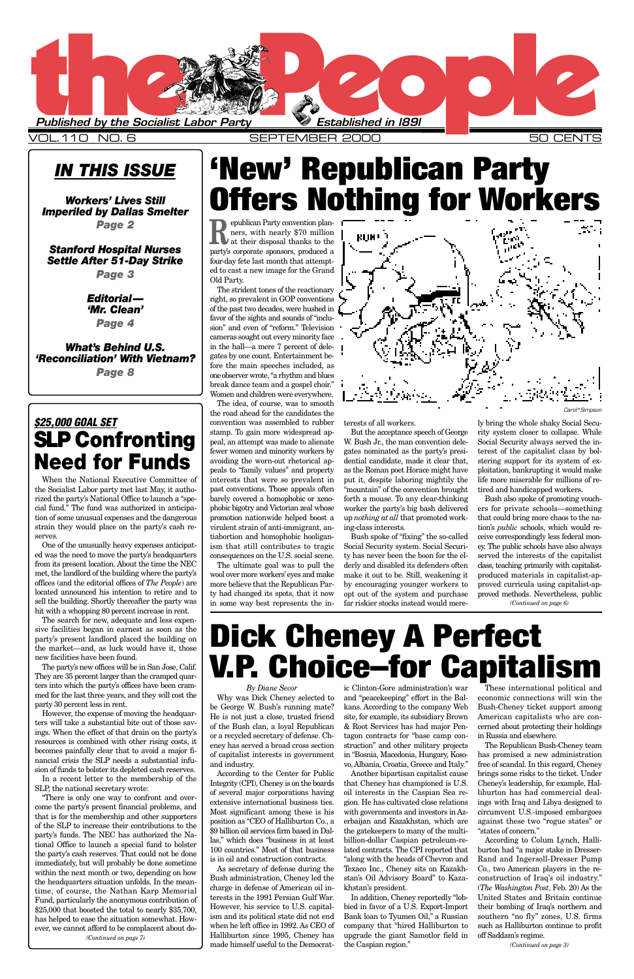### *IN THIS ISSUE*

*Workers' Lives Still Imperiled by Dallas Smelter Page 2*

*Stanford Hospital Nurses Settle After 51-Day Strike*

*Page 3*

*Editorial— 'Mr. Clean' Page 4*

*What's Behind U.S. 'Reconciliation' With Vietnam? Page 8*

> *By Diane Secor* be George W. Bush's running mate? kans. According to the company Web Bush-Cheney ticket support among He is not just a close, trusted friend site, for example, its subsidiary Brown American capitalists who are conof the Bush clan, a loyal Republican or a recycled secretary of defense. Cheney has served a broad cross section of capitalist interests in government and industry. According to the Center for Public Integrity (CPI), Cheney is on the boards of several major corporations having extensive international business ties. Most significant among these is his position as "CEO of Halliburton Co., a \$9 billion oil services firm based in Dallas," which does "business in at least 100 countries." Most of that business is in oil and construction contracts. As secretary of defense during the Bush administration, Cheney led the charge in defense of American oil interests in the 1991 Persian Gulf War. However, his service to U.S. capitalism and its political state did not end when he left office in 1992. As CEO of Halliburton since 1995, Cheney has made himself useful to the Democrat-

Why was Dick Cheney selected to and "peacekeeping" effort in the Bal-economic connections will win the ic Clinton-Gore administration's war

> & Root Services has had major Pentagon contracts for "base camp construction" and other military projects in "Bosnia, Macedonia, Hungary, Kosovo, Albania, Croatia, Greece and Italy."

> Another bipartisan capitalist cause that Cheney has championed is U.S. oil interests in the Caspian Sea region. He has cultivated close relations with governments and investors in Azerbaijan and Kazakhstan, which are the gatekeepers to many of the multibillion-dollar Caspian petroleum-related contracts. The CPI reported that "along with the heads of Chevron and Texaco Inc., Cheney sits on Kazakhstan's Oil Advisory Board" to Kazakhstan's president.

> In addition, Cheney reportedly "lobbied in favor of a U.S. Export-Import Bank loan to Tyumen Oil," a Russian company that "hired Halliburton to upgrade the giant Samotlor field in the Caspian region."

These international political and cerned about protecting their holdings in Russia and elsewhere. The Republican Bush-Cheney team has promised a new administration free of scandal. In this regard, Cheney brings some risks to the ticket. Under Cheney's leadership, for example, Halliburton has had commercial dealings with Iraq and Libya designed to circumvent U.S.-imposed embargoes against these two "rogue states" or "states of concern." According to Colum Lynch, Halliburton had "a major stake in Dresser-Rand and Ingersoll-Dresser Pump Co., two American players in the reconstruction of Iraq's oil industry." (*The Washington Post*, Feb. 20) As the United States and Britain continue their bombing of Iraq's northern and southern "no fly" zones, U.S. firms such as Halliburton continue to profit off Saddam's regime.



### VOL.110 NO. 6 SEPTEMBER 2000 50 CENTS

The strident tones of the reactionary right, so prevalent in GOP conventions of the past two decades, were hushed in favor of the sights and sounds of "inclusion" and even of "reform." Television cameras sought out every minority face in the hall—a mere 7 percent of delegates by one count. Entertainment before the main speeches included, as one observer wrote, "a rhythm and blues break dance team and a gospel choir." Women and children were everywhere.

**Republican Party convention planners, with nearly \$70 million at their disposal thanks to the** ners, with nearly \$70 million at their disposal thanks to the party's corporate sponsors, produced a four-day fete last month that attempted to cast a new image for the Grand Old Party. **Offers Nothing for Workers**

The idea, of course, was to smooth the road ahead for the candidates the convention was assembled to rubber stamp. To gain more widespread appeal, an attempt was made to alienate fewer women and minority workers by avoiding the worn-out rhetorical appeals to "family values" and property interests that were so prevalent in past conventions. Those appeals often barely covered a homophobic or xenophobic bigotry and Victorian zeal whose promotion nationwide helped boost a virulent strain of anti-immigrant, antiabortion and homophobic hooliganism that still contributes to tragic consequences on the U.S. social scene.

The ultimate goal was to pull the wool over more workers'eyes and make more believe that the Republican Party had changed its spots, that it now in some way best represents the interests of all workers.

But the acceptance speech of George W. Bush Jr., the man convention delegates nominated as the party's presidential candidate, made it clear that, as the Roman poet Horace might have put it, despite laboring mightily the "mountain" of the convention brought forth a mouse. To any clear-thinking worker the party's big bash delivered up *nothing at all* that promoted working-class interests.

Bush spoke of "fixing" the so-called Social Security system. Social Security has never been the boon for the elderly and disabled its defenders often make it out to be. Still, weakening it by encouraging younger workers to opt out of the system and purchase far riskier stocks instead would mere-

ly bring the whole shaky Social Security system closer to collapse. While Social Security always served the interest of the capitalist class by bolstering support for its system of exploitation, bankrupting it would make life more miserable for millions of retired and handicapped workers.

When the National Executive Committee of the Socialist Labor party met last May, it authorized the party's National Office to launch a "special fund." The fund was authorized in anticipation of some unusual expenses and the dangerous strain they would place on the party's cash reserves.

One of the unusually heavy expenses anticipated was the need to move the party's headquarters from its present location. About the time the NEC met, the landlord of the building where the party's offices (and the editorial offices of *The People*) are located announced his intention to retire and to sell the building. Shortly thereafter the party was hit with a whopping 80 percent increase in rent.

The search for new, adequate and less expensive facilities began in earnest as soon as the party's present landlord placed the building on the market—and, as luck would have it, those new facilities have been found.

Bush also spoke of promoting vouchers for private schools—something that could bring more chaos to the nation's *public* schools, which would receive correspondingly less federal money. The public schools have also always served the interests of the capitalist class, teaching primarily with capitalistproduced materials in capitalist-approved curricula using capitalist-approved methods. Nevertheless, public *(Continued on page 6)*

The party's new offices will be in San Jose, Calif. They are 35 percent larger than the cramped quarters into which the party's offices have been crammed for the last three years, and they will cost the party 30 percent less in rent.

However, the expense of moving the headquar-

ters will take a substantial bite out of those savings. When the effect of that drain on the party's resources is combined with other rising costs, it becomes painfully clear that to avoid a major financial crisis the SLP needs a substantial infusion of funds to bolster its depleted cash reserves.

In a recent letter to the membership of the SLP, the national secretary wrote:

"There is only one way to confront and overcome the party's present financial problems, and that is for the membership and other supporters of the SLP to increase their contributions to the party's funds. The NEC has authorized the National Office to launch a special fund to bolster the party's cash reserves. That could not be done immediately, but will probably be done sometime within the next month or two, depending on how the headquarters situation unfolds. In the meantime, of course, the Nathan Karp Memorial Fund, particularly the anonymous contribution of \$25,000 that boosted the total to nearly \$35,700, has helped to ease the situation somewhat. However, we cannot afford to be complacent about do- *(Continued on page 7)*

**'New' Republican Party**

# **Dick Cheney A Perfect V.P. Choice–for Capitalism**



*(Continued on page 3)*

### *\$25,000 GOAL SET* **SLP Confronting Need for Funds**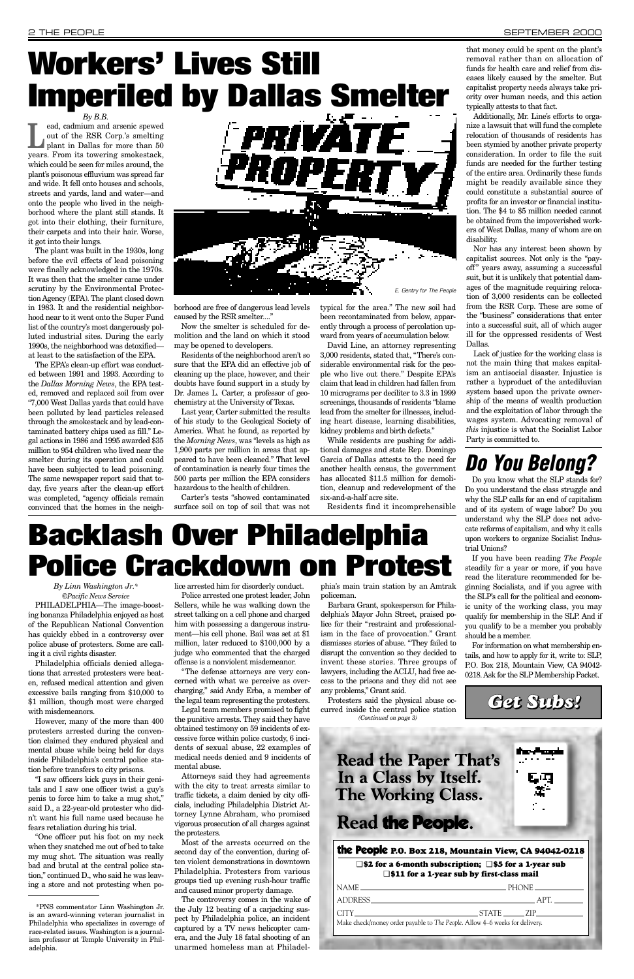*By Linn Washington Jr.\* ©Pacific News Service* 

PHILADELPHIA—The image-boosting bonanza Philadelphia enjoyed as host of the Republican National Convention has quickly ebbed in a controversy over police abuse of protesters. Some are calling it a civil rights disaster.

Philadelphia officials denied allegations that arrested protesters were beaten, refused medical attention and given excessive bails ranging from \$10,000 to \$1 million, though most were charged with misdemeanors.

However, many of the more than 400 protesters arrested during the convention claimed they endured physical and mental abuse while being held for days inside Philadelphia's central police station before transfers to city prisons.

"I saw officers kick guys in their genitals and I saw one officer twist a guy's penis to force him to take a mug shot," said D., a 22-year-old protester who didn't want his full name used because he fears retaliation during his trial.

"One officer put his foot on my neck when they snatched me out of bed to take my mug shot. The situation was really bad and brutal at the central police station," continued D., who said he was leaving a store and not protesting when police arrested him for disorderly conduct.

Police arrested one protest leader, John Sellers, while he was walking down the street talking on a cell phone and charged him with possessing a dangerous instrument—his cell phone. Bail was set at \$1 million, later reduced to \$100,000 by a judge who commented that the charged offense is a nonviolent misdemeanor.

"The defense attorneys are very concerned with what we perceive as overcharging," said Andy Erba, a member of the legal team representing the protesters.

**Lead, cadmium and arsenic spewed out of the RSR Corp.'s smelting plant in Dallas for more than 50** out of the RSR Corp.'s smelting plant in Dallas for more than 50 years. From its towering smokestack, which could be seen for miles around, the plant's poisonous effluvium was spread far and wide. It fell onto houses and schools, streets and yards, land and water—and onto the people who lived in the neighborhood where the plant still stands. It got into their clothing, their furniture, their carpets and into their hair. Worse, it got into their lungs.

> Legal team members promised to fight the punitive arrests. They said they have obtained testimony on 59 incidents of excessive force within police custody, 6 incidents of sexual abuse, 22 examples of medical needs denied and 9 incidents of mental abuse. Attorneys said they had agreements with the city to treat arrests similar to traffic tickets, a claim denied by city officials, including Philadelphia District Attorney Lynne Abraham, who promised vigorous prosecution of all charges against the protesters. Most of the arrests occurred on the second day of the convention, during often violent demonstrations in downtown Philadelphia. Protesters from various groups tied up evening rush-hour traffic and caused minor property damage. The controversy comes in the wake of the July 12 beating of a carjacking suspect by Philadelphia police, an incident captured by a TV news helicopter camera, and the July 18 fatal shooting of an unarmed homeless man at Philadel-

> borhood are free of dangerous lead levels caused by the RSR smelter....'

> > phia's main train station by an Amtrak policeman.

Barbara Grant, spokesperson for Philadelphia's Mayor John Street, praised police for their "restraint and professionalism in the face of provocation." Grant dismisses stories of abuse. "They failed to disrupt the convention so they decided to invent these stories. Three groups of lawyers, including the ACLU, had free access to the prisons and they did not see any problems," Grant said.

Protesters said the physical abuse occurred inside the central police station

The plant was built in the 1930s, long before the evil effects of lead poisoning were finally acknowledged in the 1970s. It was then that the smelter came under scrutiny by the Environmental Protection Agency (EPA). The plant closed down in 1983. It and the residential neighborhood near to it went onto the Super Fund list of the country's most dangerously polluted industrial sites. During the early 1990s, the neighborhood was detoxified at least to the satisfaction of the EPA.

The EPA's clean-up effort was conducted between 1991 and 1993. According to the *Dallas Morning News*, the EPA tested, removed and replaced soil from over "7,000 West Dallas yards that could have been polluted by lead particles released through the smokestack and by lead-contaminated battery chips used as fill." Legal actions in 1986 and 1995 awarded \$35 million to 954 children who lived near the smelter during its operation and could have been subjected to lead poisoning. The same newspaper report said that today, five years after the clean-up effort was completed, "agency officials remain convinced that the homes in the neigh-

> **Read the Paper That's** In a Class by Itself. The Working Class. Read the People. the People **P.O. Box 218, Mountain View, CA 94042-0218** ❑ **\$2 for a 6-month subscription;** ❑ **\$5 for a 1-year sub** ❑ **\$11 for a 1-year sub by first-class mail** NAME PHONE ADDRESS APT. CITY STATE ZIP Make check/money order payable to *The People*. Allow 4–6 weeks for delivery.

Now the smelter is scheduled for demolition and the land on which it stood may be opened to developers.

Residents of the neighborhood aren't so sure that the EPA did an effective job of cleaning up the place, however, and their doubts have found support in a study by Dr. James L. Carter, a professor of geochemistry at the University of Texas.

Last year, Carter submitted the results of his study to the Geological Society of America. What he found, as reported by the *Morning News*, was "levels as high as 1,900 parts per million in areas that appeared to have been cleaned." That level of contamination is nearly four times the 500 parts per million the EPA considers hazardous to the health of children.

Carter's tests "showed contaminated surface soil on top of soil that was not

### *By B.B.* **Workers' Lives Still Imperiled by Dallas Smelter**

typical for the area." The new soil had been recontaminated from below, apparently through a process of percolation upward from years of accumulation below.

David Line, an attorney representing 3,000 residents, stated that, "There's considerable environmental risk for the people who live out there." Despite EPA's claim that lead in children had fallen from 10 micrograms per deciliter to 3.3 in 1999 screenings, thousands of residents "blame lead from the smelter for illnesses, including heart disease, learning disabilities, kidney problems and birth defects."

While residents are pushing for additional damages and state Rep. Domingo Garcia of Dallas attests to the need for another health census, the government has allocated \$11.5 million for demolition, cleanup and redevelopment of the six-and-a-half acre site.

Residents find it incomprehensible

that money could be spent on the plant's removal rather than on allocation of funds for health care and relief from diseases likely caused by the smelter. But capitalist property needs always take priority over human needs, and this action typically attests to that fact.

Additionally, Mr. Line's efforts to organize a lawsuit that will fund the complete relocation of thousands of residents has been stymied by another private property consideration. In order to file the suit funds are needed for the further testing of the entire area. Ordinarily these funds might be readily available since they could constitute a substantial source of profits for an investor or financial institution. The \$4 to \$5 million needed cannot be obtained from the impoverished workers of West Dallas, many of whom are on disability.

Nor has any interest been shown by capitalist sources. Not only is the "payoff" years away, assuming a successful suit, but it is unlikely that potential damages of the magnitude requiring relocation of 3,000 residents can be collected from the RSR Corp. These are some of the "business" considerations that enter into a successful suit, all of which auger ill for the oppressed residents of West Dallas.

Lack of justice for the working class is not the main thing that makes capitalism an antisocial disaster. Injustice is rather a byproduct of the antediluvian system based upon the private ownership of the means of wealth production and the exploitation of labor through the wages system. Advocating removal of *this* injustice is what the Socialist Labor Party is committed to.

### *Do You Belong?*

Do you know what the SLP stands for? Do you understand the class struggle and why the SLP calls for an end of capitalism and of its system of wage labor? Do you understand why the SLP does not advocate reforms of capitalism, and why it calls upon workers to organize Socialist Industrial Unions?

If you have been reading *The People* steadily for a year or more, if you have read the literature recommended for beginning Socialists, and if you agree with the SLP's call for the political and economic unity of the working class, you may qualify for membership in the SLP. And if you qualify to be a member you probably should be a member.

For information on what membership entails, and how to apply for it, write to: SLP, P.O. Box 218, Mountain View, CA 94042- 0218. Ask for the SLP Membership Packet.

*Get Subs!*



**Backlash Over Philadelphia Police Crackdown on Protest**

*(Continued on page 3)*

\*PNS commentator Linn Washington Jr. is an award-winning veteran journalist in Philadelphia who specializes in coverage of race-related issues. Washington is a journalism professor at Temple University in Philadelphia.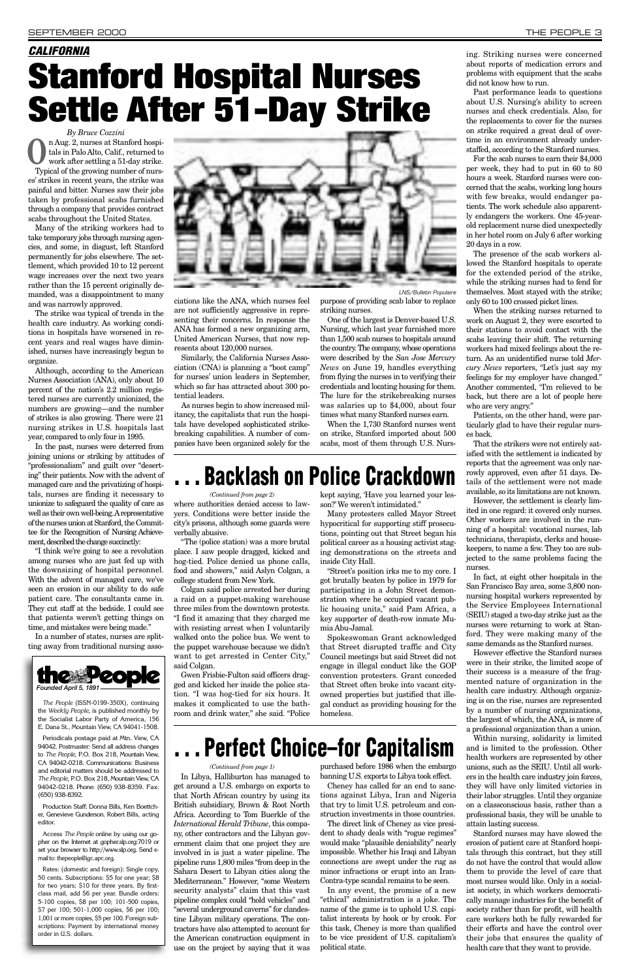*By Bruce Cozzini* n Aug. 2, nurses at Stanford hospitals in Palo Alto, Calif., returned to work after settling a 51-day strike. tals in Palo Alto, Calif., returned to work after settling a 51-day strike. Typical of the growing number of nurses' strikes in recent years, the strike was painful and bitter. Nurses saw their jobs taken by professional scabs furnished through a company that provides contract scabs throughout the United States.

Many of the striking workers had to take temporary jobs through nursing agencies, and some, in disgust, left Stanford permanently for jobs elsewhere. The settlement, which provided 10 to 12 percent wage increases over the next two years rather than the 15 percent originally demanded, was a disappointment to many and was narrowly approved.

The strike was typical of trends in the health care industry. As working conditions in hospitals have worsened in recent years and real wages have diminished, nurses have increasingly begun to organize.

Although, according to the American Nurses Association (ANA), only about 10 percent of the nation's 2.2 million registered nurses are currently unionized, the numbers are growing—and the number of strikes is also growing. There were 21 nursing strikes in U.S. hospitals last year, compared to only four in 1995.

In the past, nurses were deterred from joining unions or striking by attitudes of "professionalism" and guilt over "deserting" their patients. Now with the advent of managed care and the privatizing of hospitals, nurses are finding it necessary to unionize to safeguard the quality of care as well as their own well-being. Arepresentative of the nurses union at Stanford, the Committee for the Recognition of Nursing Achievement, described the change succinctly:

"I think we're going to see a revolution among nurses who are just fed up with the downsizing of hospital personnel. With the advent of managed care, we've seen an erosion in our ability to do safe patient care. The consultants came in. They cut staff at the bedside. I could see that patients weren't getting things on time, and mistakes were being made."

In a number of states, nurses are splitting away from traditional nursing associations like the ANA, which nurses feel are not sufficiently aggressive in representing their concerns. In response the ANA has formed a new organizing arm, United American Nurses, that now represents about 120,000 nurses.

Similarly, the California Nurses Association (CNA) is planning a "boot camp" for nurses' union leaders in September, which so far has attracted about 300 potential leaders.

As nurses begin to show increased militancy, the capitalists that run the hospitals have developed sophisticated strikebreaking capabilities. A number of companies have been organized solely for the purpose of providing scab labor to replace striking nurses.

One of the largest is Denver-based U.S. Nursing, which last year furnished more than 1,500 scab nurses to hospitals around the country. The company, whose operations were described by the *San Jose Mercury News* on June 19, handles everything from flying the nurses in to verifying their credentials and locating housing for them. The lure for the strikebreaking nurses was salaries up to \$4,000, about four times what many Stanford nurses earn.

When the 1,730 Stanford nurses went on strike, Stanford imported about 500 scabs, most of them through U.S. Nurs-

### **Backlash on Police Crackdown**

ing. Striking nurses were concerned about reports of medication errors and problems with equipment that the scabs did not know how to run.

*The People* (ISSN-0199-350X), continuing the *Weekly People*, is published monthly by arty of Americ



Past performance leads to questions about U.S. Nursing's ability to screen nurses and check credentials. Also, for the replacements to cover for the nurses on strike required a great deal of overtime in an environment already understaffed, according to the Stanford nurses.

For the scab nurses to earn their \$4,000 per week, they had to put in 60 to 80 hours a week. Stanford nurses were concerned that the scabs, working long hours with few breaks, would endanger patients. The work schedule also apparently endangers the workers. One 45-yearold replacement nurse died unexpectedly in her hotel room on July 6 after working 20 days in a row.

The presence of the scab workers allowed the Stanford hospitals to operate for the extended period of the strike, while the striking nurses had to fend for themselves. Most stayed with the strike; only 60 to 100 crossed picket lines.

When the striking nurses returned to work on August 2, they were escorted to their stations to avoid contact with the scabs leaving their shift. The returning workers had mixed feelings about the return. As an unidentified nurse told *Mercury News* reporters, "Let's just say my feelings for my employer have changed." Another commented, "I'm relieved to be back, but there are a lot of people here who are very angry."

Patients, on the other hand, were particularly glad to have their regular nurses back.

That the strikers were not entirely satisfied with the settlement is indicated by reports that the agreement was only narrowly approved, even after 51 days. Details of the settlement were not made available, so its limitations are not known.

However, the settlement is clearly limited in one regard: it covered only nurses. Other workers are involved in the running of a hospital: vocational nurses, lab technicians, therapists, clerks and housekeepers, to name a few. They too are subjected to the same problems facing the nurses.

In fact, at eight other hospitals in the San Francisco Bay area, some 3,800 nonnursing hospital workers represented by the Service Employees International (SEIU) staged a two-day strike just as the nurses were returning to work at Stanford. They were making many of the same demands as the Stanford nurses.

However effective the Stanford nurses were in their strike, the limited scope of their success is a measure of the fragmented nature of organization in the health care industry. Although organizing is on the rise, nurses are represented by a number of nursing organizations, the largest of which, the ANA, is more of a professional organization than a union. Within nursing, solidarity is limited and is limited to the profession. Other health workers are represented by other unions, such as the SEIU. Until all workers in the health care industry join forces, they will have only limited victories in their labor struggles. Until they organize on a classconscious basis, rather than a professional basis, they will be unable to attain lasting success. Stanford nurses may have slowed the erosion of patient care at Stanford hospitals through this contract, but they still do not have the control that would allow them to provide the level of care that most nurses would like. Only in a socialist society, in which workers democratically manage industries for the benefit of society rather than for profit, will health care workers both be fully rewarded for their efforts and have the control over their jobs that ensures the quality of health care that they want to provide.



E. Dana St., Mountain View, CA 94041-1508.

Periodicals postage paid at Mtn. View, CA 94042. Postmaster: Send all address changes to *The People*, P.O. Box 218, Mountain View, CA 94042-0218. Communications: Business and editorial matters should be addressed to *The People*, P.O. Box 218, Mountain View, CA 94042-0218. Phone: (650) 938-8359. Fax: (650) 938-8392.

Production Staff: Donna Bills, Ken Boettcher, Genevieve Gunderson. Robert Bills, acting editor.

Access *The People* online by using our gopher on the Internet at gopher.slp.org:7019 or set your browser to http://www.slp.org. Send email to: thepeople@igc.apc.org.

Rates: (domestic and foreign): Single copy, 50 cents. Subscriptions: \$5 for one year; \$8 for two years; \$10 for three years. By firstclass mail, add \$6 per year. Bundle orders: 5-100 copies, \$8 per 100; 101-500 copies, \$7 per 100; 501-1,000 copies, \$6 per 100; 1,001 or more copies, \$5 per 100. Foreign subscriptions: Payment by international money order in U.S. dollars.

where authorities denied access to lawyers. Conditions were better inside the city's prisons, although some guards were verbally abusive.

"The (police station) was a more brutal place. I saw people dragged, kicked and hog-tied. Police denied us phone calls, food and showers," said Aslyn Colgan, a college student from New York.

Colgan said police arrested her during a raid on a puppet-making warehouse three miles from the downtown protests. "I find it amazing that they charged me with resisting arrest when I voluntarily walked onto the police bus. We went to the puppet warehouse because we didn't want to get arrested in Center City," said Colgan.

Gwen Frisbie-Fulton said officers dragged and kicked her inside the police station. "I was hog-tied for six hours. It makes it complicated to use the bathroom and drink water," she said. "Police

kept saying, 'Have you learned your lesson?' We weren't intimidated."

Many protesters called Mayor Street hypocritical for supporting stiff prosecutions, pointing out that Street began his political career as a housing activist staging demonstrations on the streets and inside City Hall.

"Street's position irks me to my core. I got brutally beaten by police in 1979 for participating in a John Street demonstration where he occupied vacant public housing units," said Pam Africa, a key supporter of death-row inmate Mumia Abu-Jamal.

Spokeswoman Grant acknowledged that Street disrupted traffic and City Council meetings but said Street did not engage in illegal conduct like the GOP convention protesters. Grant conceded that Street often broke into vacant cityowned properties but justified that illegal conduct as providing housing for the homeless.

LNS/Bulletin Populaire

### *CALIFORNIA* **Stanford Hospital Nurses Settle After 51-Day Strike**

*(Continued from page 2)*

In Libya, Halliburton has managed to get around a U.S. embargo on exports to that North African country by using its British subsidiary, Brown & Root North Africa. According to Tom Buerkle of the *International Herald Tribune*, this company, other contractors and the Libyan government claim that one project they are involved in is just a water pipeline. The pipeline runs 1,800 miles "from deep in the Sahara Desert to Libyan cities along the Mediterranean." However, "some Western security analysts" claim that this vast pipeline complex could "hold vehicles" and "several underground caverns" for clandestine Libyan military operations. The contractors have also attempted to account for the American construction equipment in use on the project by saying that it was

purchased before 1986 when the embargo banning U.S. exports to Libya took effect.

Cheney has called for an end to sanctions against Libya, Iran and Nigeria that try to limit U.S. petroleum and construction investments in those countries.

The direct link of Cheney as vice president to shady deals with "rogue regimes" would make "plausible deniability" nearly impossible. Whether his Iraqi and Libyan connections are swept under the rug as minor infractions or erupt into an Iran-Contra-type scandal remains to be seen.

In any event, the promise of a new "ethical" administration is a joke. The name of the game is to uphold U.S. capitalist interests by hook or by crook. For this task, Cheney is more than qualified to be vice president of U.S. capitalism's political state.

## **. . . Perfect Choice–for Capitalism**

*(Continued from page 1)*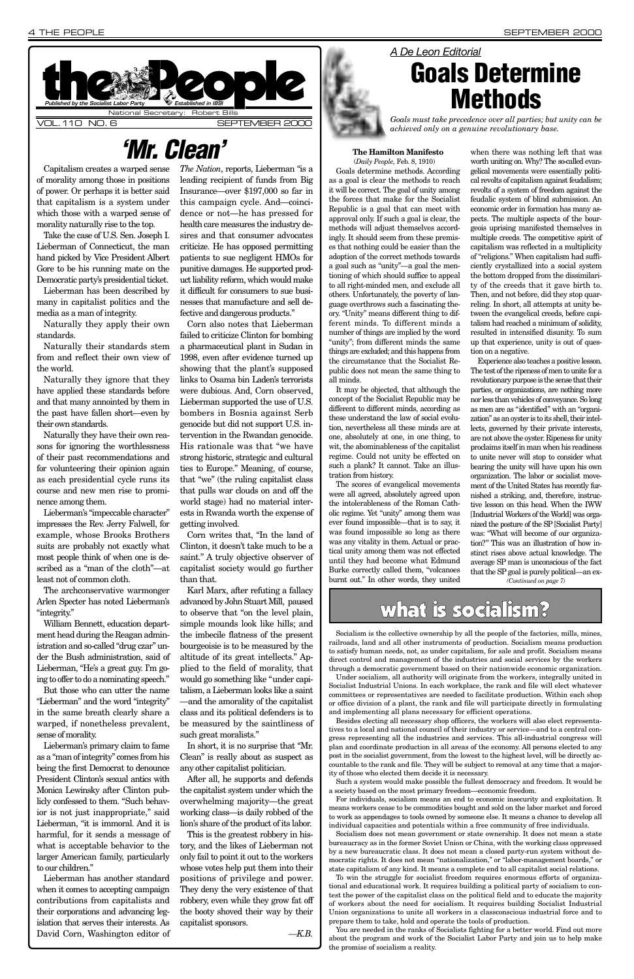Capitalism creates a warped sense of morality among those in positions of power. Or perhaps it is better said that capitalism is a system under which those with a warped sense of morality naturally rise to the top.

Take the case of U.S. Sen. Joseph I. Lieberman of Connecticut, the man hand picked by Vice President Albert Gore to be his running mate on the Democratic party's presidential ticket.

Lieberman has been described by many in capitalist politics and the media as a man of integrity.

Naturally they apply their own standards.

Naturally their standards stem from and reflect their own view of the world.

Naturally they ignore that they have applied these standards before and that many annointed by them in the past have fallen short—even by their own standards.

Naturally they have their own reasons for ignoring the worthlessness of their past recommendations and for volunteering their opinion again as each presidential cycle runs its course and new men rise to prominence among them.

Lieberman's "impeccable character" impresses the Rev. Jerry Falwell, for example, whose Brooks Brothers suits are probably not exactly what most people think of when one is described as a "man of the cloth"—at least not of common cloth.

The archconservative warmonger Arlen Specter has noted Lieberman's "integrity."

William Bennett, education department head during the Reagan administration and so-called "drug czar" under the Bush administration, said of Lieberman, "He's a great guy. I'm going to offer to do a nominating speech."

But those who can utter the name "Lieberman" and the word "integrity" in the same breath clearly share a

warped, if nonetheless prevalent, sense of morality.

Lieberman's primary claim to fame as a "man of integrity" comes from his being the first Democrat to denounce President Clinton's sexual antics with Monica Lewinsky after Clinton publicly confessed to them. "Such behavior is not just inappropriate," said Lieberman, "it is immoral. And it is harmful, for it sends a message of what is acceptable behavior to the larger American family, particularly to our children."

Lieberman has another standard when it comes to accepting campaign contributions from capitalists and their corporations and advancing legislation that serves their interests. As David Corn, Washington editor of *The Nation*, reports, Lieberman "is a leading recipient of funds from Big Insurance—over \$197,000 so far in this campaign cycle. And—coincidence or not—he has pressed for health care measures the industry desires and that consumer advocates criticize. He has opposed permitting patients to sue negligent HMOs for punitive damages. He supported product liability reform, which would make it difficult for consumers to sue businesses that manufacture and sell defective and dangerous products."

Corn also notes that Lieberman failed to criticize Clinton for bombing a pharmaceutical plant in Sudan in 1998, even after evidence turned up showing that the plant's supposed links to Osama bin Laden's terrorists were dubious. And, Corn observed, Lieberman supported the use of U.S. bombers in Bosnia against Serb genocide but did not support U.S. intervention in the Rwandan genocide. His rationale was that "we have strong historic, strategic and cultural ties to Europe." Meaning, of course, that "we" (the ruling capitalist class that pulls war clouds on and off the world stage) had no material interests in Rwanda worth the expense of getting involved.

Corn writes that, "In the land of Clinton, it doesn't take much to be a saint." A truly objective observer of capitalist society would go further than that.

Karl Marx, after refuting a fallacy advanced by John Stuart Mill, paused to observe that "on the level plain, simple mounds look like hills; and the imbecile flatness of the present bourgeoisie is to be measured by the altitude of its great intellects." Applied to the field of morality, that would go something like "under capitalism, a Lieberman looks like a saint —and the amorality of the capitalist class and its political defenders is to be measured by the saintliness of such great moralists."



In short, it is no surprise that "Mr. Clean" is really about as suspect as any other capitalist politician.

After all, he supports and defends the capitalist system under which the overwhelming majority—the great working class—is daily robbed of the lion's share of the product of its labor. This is the greatest robbery in history, and the likes of Lieberman not only fail to point it out to the workers whose votes help put them into their positions of privilege and power. They deny the very existence of that robbery, even while they grow fat off the booty shoved their way by their capitalist sponsors.

*—K.B.*

#### **The Hamilton Manifesto** (*Daily People,* Feb. 8, 1910)

Goals determine methods. According as a goal is clear the methods to reach it will be correct. The goal of unity among the forces that make for the Socialist Republic is a goal that can meet with approval only. If such a goal is clear, the methods will adjust themselves accordingly. It should seem from these premises that nothing could be easier than the adoption of the correct methods towards a goal such as "unity"—a goal the mentioning of which should suffice to appeal to all right-minded men, and exclude all others. Unfortunately, the poverty of language overthrows such a fascinating theory. "Unity" means different thing to different minds. To different minds a number of things are implied by the word "unity"; from different minds the same things are excluded; and this happens from the circumstance that the Socialist Republic does not mean the same thing to all minds.

It may be objected, that although the concept of the Socialist Republic may be different to different minds, according as these understand the law of social evolution, nevertheless all these minds are at one, absolutely at one, in one thing, to wit, the abominableness of the capitalist regime. Could not unity be effected on such a plank? It cannot. Take an illustration from history.

The scores of evangelical movements were all agreed, absolutely agreed upon the intolerableness of the Roman Catholic regime. Yet "unity" among them was ever found impossible—that is to say, it was found impossible so long as there was any vitality in them. Actual or practical unity among them was not effected until they had become what Edmund Burke correctly called them, "volcanoes burnt out." In other words, they united

when there was nothing left that was worth uniting on. Why? The so-called evangelical movements were essentially political revolts of capitalism against feudalism; revolts of a system of freedom against the feudalic system of blind submission. An economic order in formation has many aspects. The multiple aspects of the bourgeois uprising manifested themselves in multiple creeds. The competitive spirit of capitalism was reflected in a multiplicity of "religions." When capitalism had sufficiently crystallized into a social system the bottom dropped from the dissimilarity of the creeds that it gave birth to. Then, and not before, did they stop quarreling. In short, all attempts at unity between the evangelical creeds, before capitalism had reached a minimum of solidity, resulted in intensified disunity. To sum up that experience, unity is out of question on a negative.

Experience also teaches a positive lesson. The test of the ripeness of men to unite for a revolutionary purpose is the sense that their parties, or organizations, are nothing more nor less than vehicles of conveyance. So long as men are as "identified" with an "organization" as an oyster is to its shell, their intellects, governed by their private interests, are not above the oyster. Ripeness for unity proclaims itself in man when his readiness to unite never will stop to consider what bearing the unity will have upon his own organization. The labor or socialist movement of the United States has recently furnished a striking, and, therefore, instructive lesson on this head. When the IWW [Industrial Workers of the World] was organized the posture of the SP [Socialist Party] was: "What will become of our organization?" This was an illustration of how instinct rises above actual knowledge. The average SP man is unconscious of the fact that the SP goal is purely political—an ex-

### *'Mr. Clean'*

### *A De Leon Editorial* **Goals Determine Methods**

*Goals must take precedence over all parties; but unity can be achieved only on a genuine revolutionary base.*

Socialism is the collective ownership by all the people of the factories, mills, mines, railroads, land and all other instruments of production. Socialism means production to satisfy human needs, not, as under capitalism, for sale and profit. Socialism means direct control and management of the industries and social services by the workers through a democratic government based on their nationwide economic organization.

Under socialism, all authority will originate from the workers, integrally united in Socialist Industrial Unions. In each workplace, the rank and file will elect whatever committees or representatives are needed to facilitate production. Within each shop or office division of a plant, the rank and file will participate directly in formulating and implementing all plans necessary for efficient operations.

Besides electing all necessary shop officers, the workers will also elect representatives to a local and national council of their industry or service—and to a central congress representing all the industries and services. This all-industrial congress will plan and coordinate production in all areas of the economy. All persons elected to any post in the socialist government, from the lowest to the highest level, will be directly accountable to the rank and file. They will be subject to removal at any time that a majority of those who elected them decide it is necessary.

Such a system would make possible the fullest democracy and freedom. It would be a society based on the most primary freedom—economic freedom.

For individuals, socialism means an end to economic insecurity and exploitation. It means workers cease to be commodities bought and sold on the labor market and forced to work as appendages to tools owned by someone else. It means a chance to develop all individual capacities and potentials within a free community of free individuals.

Socialism does not mean government or state ownership. It does not mean a state bureaucracy as in the former Soviet Union or China, with the working class oppressed by a new bureaucratic class. It does not mean a closed party-run system without democratic rights. It does not mean "nationalization," or "labor-management boards," or state capitalism of any kind. It means a complete end to all capitalist social relations.

To win the struggle for socialist freedom requires enormous efforts of organizational and educational work. It requires building a political party of socialism to contest the power of the capitalist class on the political field and to educate the majority of workers about the need for socialism. It requires building Socialist Industrial Union organizations to unite all workers in a classconscious industrial force and to prepare them to take, hold and operate the tools of production.

You are needed in the ranks of Socialists fighting for a better world. Find out more about the program and work of the Socialist Labor Party and join us to help make the promise of socialism a reality.

*(Continued on page 7)*

### what is socialism?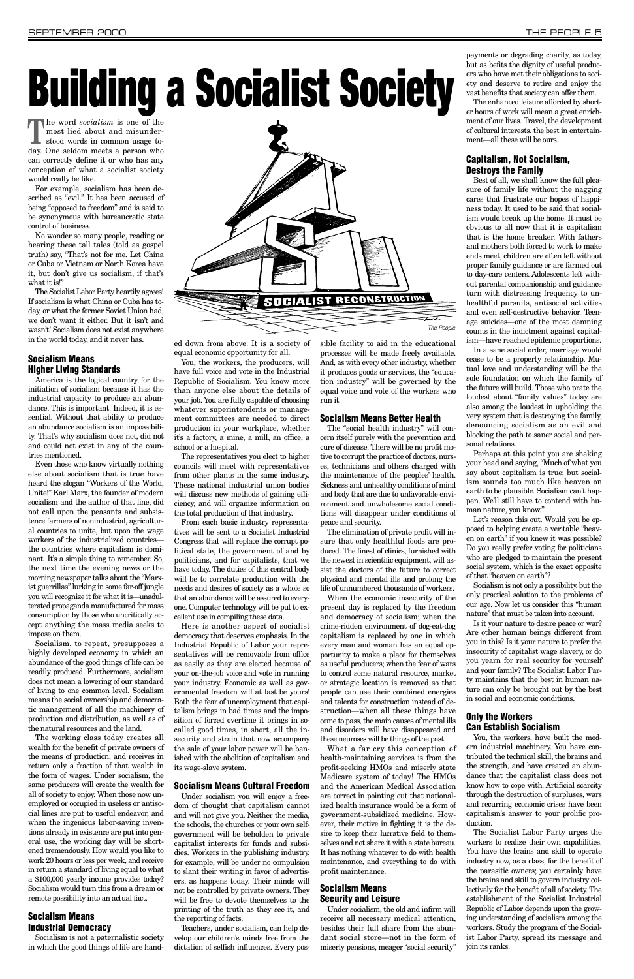**The word** *socialism* is one of the most lied about and misunder-<br>stood words in common usage tomost lied about and misunderstood words in common usage today. One seldom meets a person who can correctly define it or who has any conception of what a socialist society would really be like.

No wonder so many people, reading or hearing these tall tales (told as gospel truth) say, "That's not for me. Let China or Cuba or Vietnam or North Korea have it, but don't give us socialism, if that's what it is!"

For example, socialism has been described as "evil." It has been accused of being "opposed to freedom" and is said to be synonymous with bureaucratic state control of business.

The Socialist Labor Party heartily agrees! If socialism is what China or Cuba has today, or what the former Soviet Union had, we don't want it either. But it isn't and wasn't! Socialism does not exist anywhere in the world today, and it never has.

### **Socialism Means Higher Living Standards**

America is the logical country for the initiation of socialism because it has the industrial capacity to produce an abundance. This is important. Indeed, it is essential. Without that ability to produce an abundance socialism is an impossibility. That's why socialism does not, did not and could not exist in any of the countries mentioned.

Even those who know virtually nothing else about socialism that is true have heard the slogan "Workers of the World, Unite!" Karl Marx, the founder of modern socialism and the author of that line, did not call upon the peasants and subsistence farmers of nonindustrial, agricultural countries to unite, but upon the wage workers of the industrialized countries the countries where capitalism is dominant. It's a simple thing to remember. So, the next time the evening news or the morning newspaper talks about the "Marxist guerrillas" lurking in some far-off jungle you will recognize it for what it is—unadulterated propaganda manufactured for mass consumption by those who uncritically accept anything the mass media seeks to impose on them.

Socialism, to repeat, presupposes a highly developed economy in which an abundance of the good things of life can be readily produced. Furthermore, socialism does not mean a lowering of our standard of living to one common level. Socialism means the social ownership and democratic management of all the machinery of production and distribution, as well as of the natural resources and the land. The working class today creates all wealth for the benefit of private owners of the means of production, and receives in return only a fraction of that wealth in the form of wages. Under socialism, the same producers will create the wealth for all of society to enjoy. When those now unemployed or occupied in useless or antisocial lines are put to useful endeavor, and when the ingenious labor-saving inventions already in existence are put into general use, the working day will be shortened tremendously. How would you like to work 20 hours or less per week, and receive in return a standard of living equal to what a \$100,000 yearly income provides today? Socialism would turn this from a dream or remote possibility into an actual fact.

### **Socialism Means Industrial Democracy**

Socialism is not a paternalistic society in which the good things of life are handed down from above. It is a society of equal economic opportunity for all.

You, the workers, the producers, will have full voice and vote in the Industrial Republic of Socialism. You know more than anyone else about the details of your job. You are fully capable of choosing whatever superintendents or management committees are needed to direct production in your workplace, whether it's a factory, a mine, a mill, an office, a school or a hospital.

The representatives you elect to higher councils will meet with representatives from other plants in the same industry. These national industrial union bodies will discuss new methods of gaining efficiency, and will organize information on the total production of that industry.

From each basic industry representatives will be sent to a Socialist Industrial Congress that will replace the corrupt political state, the government of and by politicians, and for capitalists, that we have today. The duties of this central body will be to correlate production with the needs and desires of society as a whole so that an abundance will be assured to everyone. Computer technology will be put to excellent use in compiling these data.

Here is another aspect of socialist democracy that deserves emphasis. In the Industrial Republic of Labor your representatives will be removable from office as easily as they are elected because of your on-the-job voice and vote in running your industry. Economic as well as governmental freedom will at last be yours! Both the fear of unemployment that capitalism brings in bad times and the imposition of forced overtime it brings in socalled good times, in short, all the insecurity and strain that now accompany the sale of your labor power will be banished with the abolition of capitalism and its wage-slave system.

### **Socialism Means Cultural Freedom**

Under socialism you will enjoy a freedom of thought that capitalism cannot and will not give you. Neither the media, the schools, the churches or your own selfgovernment will be beholden to private capitalist interests for funds and subsidies. Workers in the publishing industry, for example, will be under no compulsion to slant their writing in favor of advertisers, as happens today. Their minds will not be controlled by private owners. They will be free to devote themselves to the printing of the truth as they see it, and the reporting of facts.

Teachers, under socialism, can help develop our children's minds free from the dictation of selfish influences. Every pos-

sible facility to aid in the educational processes will be made freely available. And, as with every other industry, whether it produces goods or services, the "education industry" will be governed by the equal voice and vote of the workers who run it.

### **Socialism Means Better Health**

The "social health industry" will concern itself purely with the prevention and cure of disease. There will be no profit motive to corrupt the practice of doctors, nurses, technicians and others charged with the maintenance of the peoples' health. Sickness and unhealthy conditions of mind and body that are due to unfavorable environment and unwholesome social conditions will disappear under conditions of peace and security.

The elimination of private profit will insure that only healthful foods are produced. The finest of clinics, furnished with the newest in scientific equipment, will assist the doctors of the future to correct physical and mental ills and prolong the life of unnumbered thousands of workers.

When the economic insecurity of the present day is replaced by the freedom and democracy of socialism; when the crime-ridden environment of dog-eat-dog capitalism is replaced by one in which every man and woman has an equal opportunity to make a place for themselves as useful producers; when the fear of wars to control some natural resource, market or strategic location is removed so that people can use their combined energies and talents for construction instead of destruction—when all these things have come to pass, the main causes of mental ills and disorders will have disappeared and these neuroses will be things of the past. What a far cry this conception of health-maintaining services is from the profit-seeking HMOs and miserly state Medicare system of today! The HMOs and the American Medical Association are correct in pointing out that nationalized health insurance would be a form of government-subsidized medicine. However, their motive in fighting it is the desire to keep their lucrative field to themselves and not share it with a state bureau. It has nothing whatever to do with health maintenance, and everything to do with profit maintenance.

### **Socialism Means Security and Leisure**

Under socialism, the old and infirm will receive all necessary medical attention, besides their full share from the abundant social store—not in the form of miserly pensions, meager "social security"

payments or degrading charity, as today, but as befits the dignity of useful producers who have met their obligations to society and deserve to retire and enjoy the vast benefits that society can offer them.

The enhanced leisure afforded by shorter hours of work will mean a great enrichment of our lives. Travel, the development of cultural interests, the best in entertainment—all these will be ours.

### **Capitalism, Not Socialism, Destroys the Family**

Best of all, we shall know the full pleasure of family life without the nagging cares that frustrate our hopes of happiness today. It used to be said that socialism would break up the home. It must be obvious to all now that it is capitalism that is the home breaker. With fathers and mothers both forced to work to make ends meet, children are often left without proper family guidance or are farmed out to day-care centers. Adolescents left without parental companionship and guidance turn with distressing frequency to unhealthful pursuits, antisocial activities and even self-destructive behavior. Teenage suicides—one of the most damning counts in the indictment against capitalism—have reached epidemic proportions.

In a sane social order, marriage would cease to be a property relationship. Mutual love and understanding will be the sole foundation on which the family of the future will build. Those who prate the loudest about "family values" today are also among the loudest in upholding the very system that is destroying the family, denouncing socialism as an evil and blocking the path to saner social and personal relations.

Perhaps at this point you are shaking your head and saying, "Much of what you say about capitalism is true; but socialism sounds too much like heaven on earth to be plausible. Socialism can't happen. We'll still have to contend with human nature, you know."

Let's reason this out. Would you be opposed to helping create a veritable "heaven on earth" if you knew it was possible? Do you really prefer voting for politicians who are pledged to maintain the present social system, which is the exact opposite of that "heaven on earth"?

Socialism is not only a possibility, but the only practical solution to the problems of our age. Now let us consider this "human nature" that must be taken into account.

Is it your nature to desire peace or war? Are other human beings different from you in this? Is it your nature to prefer the insecurity of capitalist wage slavery, or do you yearn for real security for yourself and your family? The Socialist Labor Party maintains that the best in human nature can only be brought out by the best in social and economic conditions.

#### **Only the Workers**

### **Can Establish Socialism**

You, the workers, have built the modern industrial machinery. You have contributed the technical skill, the brains and the strength, and have created an abundance that the capitalist class does not know how to cope with. Artificial scarcity through the destruction of surpluses, wars and recurring economic crises have been capitalism's answer to your prolific production.

The Socialist Labor Party urges the workers to realize their own capabilities. You have the brains and skill to operate industry now, as a class, for the benefit of the parasitic owners; you certainly have the brains and skill to govern industry collectively for the benefit of all of society. The establishment of the Socialist Industrial Republic of Labor depends upon the growing understanding of socialism among the workers. Study the program of the Socialist Labor Party, spread its message and join its ranks.

# **Building a Socialist Society**

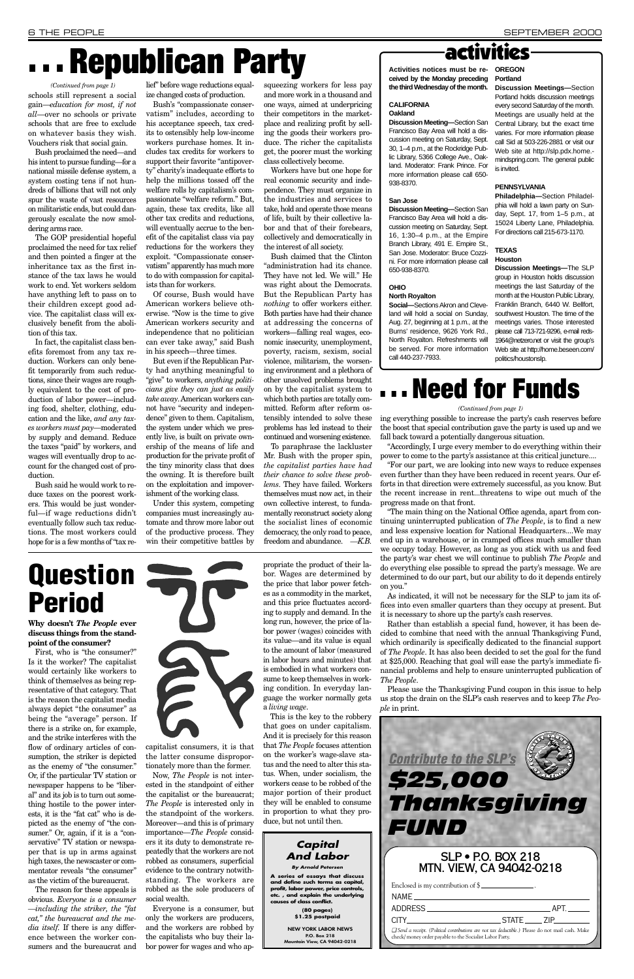**Why doesn't** *The People* **ever discuss things from the standpoint of the consumer?** 

First, who is "the consumer?" Is it the worker? The capitalist would certainly like workers to think of themselves as being representative of that category. That is the reason the capitalist media always depict "the consumer" as being the "average" person. If there is a strike on, for example, and the strike interferes with the flow of ordinary articles of consumption, the striker is depicted as the enemy of "the consumer." Or, if the particular TV station or newspaper happens to be "liberal" and its job is to turn out something hostile to the power interests, it is the "fat cat" who is depicted as the enemy of "the consumer." Or, again, if it is a "conservative" TV station or newspaper that is up in arms against high taxes, the newscaster or commentator reveals "the consumer" as the victim of the bureaucrat. The reason for these appeals is obvious. *Everyone is a consumer —including the striker, the "fat cat," the bureaucrat and the media itself.* If there is any difference between the worker consumers and the bureaucrat and



capitalist consumers, it is that the latter consume disproportionately more than the former.

Now, *The People* is not interested in the standpoint of either the capitalist or the bureaucrat; *The People* is interested only in the standpoint of the workers. Moreover—and this is of primary importance—*The People* considers it its duty to demonstrate repeatedly that the workers are not robbed as consumers, superficial evidence to the contrary notwithstanding. The workers are robbed as the sole producers of social wealth.

Everyone is a consumer, but only the workers are producers, and the workers are robbed by the capitalists who buy their labor power for wages and who ap-

propriate the product of their labor. Wages are determined by the price that labor power fetches as a commodity in the market, and this price fluctuates according to supply and demand. In the long run, however, the price of labor power (wages) coincides with its value—and its value is equal to the amount of labor (measured in labor hours and minutes) that is embodied in what workers consume to keep themselves in working condition. In everyday language the worker normally gets a *living wage*.

This is the key to the robbery

that goes on under capitalism. And it is precisely for this reason that *The People* focuses attention on the worker's wage-slave status and the need to alter this status. When, under socialism, the workers cease to be robbed of the major portion of their product they will be enabled to consume in proportion to what they produce, but not until then.

# **. . . Republican Party**

schools still represent a social gain—*education for most, if not all*—over no schools or private schools that are free to exclude on whatever basis they wish. Vouchers risk that social gain.

Bush proclaimed the need—and his intent to pursue funding—for a national missile defense system, a system costing tens if not hundreds of billions that will not only spur the waste of vast resources on militaristic ends, but could dangerously escalate the now smoldering arms race.

The GOP presidential hopeful proclaimed the need for tax relief and then pointed a finger at the inheritance tax as the first instance of the tax laws he would work to end. Yet workers seldom have anything left to pass on to their children except good advice. The capitalist class will exclusively benefit from the abolition of this tax.

In fact, the capitalist class benefits foremost from any tax reduction. Workers can only benefit temporarily from such reductions, since their wages are roughly equivalent to the cost of production of labor power—including food, shelter, clothing, education and the like, *and any taxes workers must pay*—moderated by supply and demand. Reduce the taxes "paid" by workers, and wages will eventually drop to account for the changed cost of production.

Bush said he would work to reduce taxes on the poorest workers. This would be just wonderful—if wage reductions didn't eventually follow such tax reductions. The most workers could hope for is a few months of "tax re-

lief" before wage reductions equalize changed costs of production.

Bush's "compassionate conservatism" includes, according to his acceptance speech, tax credits to ostensibly help low-income workers purchase homes. It includes tax credits for workers to support their favorite "antipoverty" charity's inadequate efforts to help the millions tossed off the welfare rolls by capitalism's compassionate "welfare reform." But, again, these tax credits, like all other tax credits and reductions, will eventually accrue to the benefit of the capitalist class via pay reductions for the workers they exploit. "Compassionate conservatism" apparently has much more to do with compassion for capitalists than for workers.

Of course, Bush would have American workers believe otherwise. "Now is the time to give American workers security and independence that no politician can ever take away," said Bush in his speech—three times.

But even if the Republican Party had anything meaningful to "give" to workers, *anything politicians give they can just as easily take away*. American workers cannot have "security and independence" given to them. Capitalism, the system under which we presently live, is built on private ownership of the means of life and production for the private profit of the tiny minority class that does the owning. It is therefore built on the exploitation and impoverishment of the working class.

Under this system, competing companies must increasingly automate and throw more labor out of the productive process. They win their competitive battles by squeezing workers for less pay and more work in a thousand and one ways, aimed at underpricing their competitors in the marketplace and realizing profit by selling the goods their workers produce. The richer the capitalists get, the poorer must the working class collectively become.

Workers have but one hope for real economic security and independence. They must organize in the industries and services to take, hold and operate those means of life, built by their collective labor and that of their forebears, collectively and democratically in the interest of all society.

Bush claimed that the Clinton "administration had its chance. They have not led. We will." He was right about the Democrats. But the Republican Party has *nothing* to offer workers either. Both parties have had their chance at addressing the concerns of workers—falling real wages, economic insecurity, unemployment, poverty, racism, sexism, social violence, militarism, the worsening environment and a plethora of other unsolved problems brought on by the capitalist system to which both parties are totally committed. Reform after reform ostensibly intended to solve these problems has led instead to their continued and worsening existence.

To paraphrase the lackluster Mr. Bush with the proper spin, *the capitalist parties have had their chance to solve these problems*. They have failed. Workers themselves must now act, in their own collective interest, to fundamentally reconstruct society along the socialist lines of economic democracy, the only road to peace, freedom and abundance. *—K.B.*

### activities

**Activities notices must be re-OREGON ceived by the Monday preceding Portland the third Wednesday of the month.**

### **CALIFORNIA Oakland**

**Discussion Meeting—**Section San Francisco Bay Area will hold a discussion meeting on Saturday, Sept. 30, 1–4 p.m., at the Rockridge Public Library, 5366 College Ave., Oakland. Moderator: Frank Prince. For more information please call 650- 938-8370.

#### **San Jose**

**Discussion Meeting—**Section San Francisco Bay Area will hold a discussion meeting on Saturday, Sept. 16, 1:30–4 p.m., at the Empire Branch Library, 491 E. Empire St., San Jose. Moderator: Bruce Cozzini. For more information please call 650-938-8370.

### **OHIO**

### **North Royalton**

**Social—**Sections Akron and Cleveland will hold a social on Sunday, Aug. 27, beginning at 1 p.m., at the Burns' residence, 9626 York Rd., North Royalton. Refreshments will be served. For more information call 440-237-7933.

**Discussion Meetings—**Section Portland holds discussion meetings every second Saturday of the month. Meetings are usually held at the Central Library, but the exact time varies. For more information please call Sid at 503-226-2881 or visit our Web site at http://slp.pdx.home. mindspring.com. The general public is invited.

### **PENNSYLVANIA**

**Philadelphia—**Section Philadelphia will hold a lawn party on Sunday, Sept. 17, from 1–5 p.m., at 15024 Liberty Lane, Philadelphia. For directions call 215-673-1170.

### **TEXAS Houston**

**Discussion Meetings—**The SLP group in Houston holds discussion meetings the last Saturday of the month at the Houston Public Library, Franklin Branch, 6440 W. Bellfort, southwest Houston. The time of the meetings varies. Those interested please call 713-721-9296, e-mail reds-1964@netzero.net or visit the group's Web site at http://home.beseen.com/ politics/houstonslp.

| <b>Contribute to the SLP's</b><br><b>\$25,000</b><br>Thanksgiving<br>FUND                                                                                     |                   |
|---------------------------------------------------------------------------------------------------------------------------------------------------------------|-------------------|
| <b>SLP • P.O. BOX 218</b><br>MTN. VIEW, CA 94042-0218                                                                                                         |                   |
| Enclosed is my contribution of $\frac{1}{2}$                                                                                                                  |                   |
| NAME.                                                                                                                                                         |                   |
| ADDRESS.                                                                                                                                                      | APT.              |
| <b>CITY</b>                                                                                                                                                   | STATE ______ ZIP_ |
| □ Send a receipt. (Political contributions are not tax deductible.) Please do not mail cash. Make<br>check/ money order payable to the Socialist Labor Party. |                   |

*(Continued from page 1)*

**Question Period**

### *Capital And Labor*

*By Arnold Petersen*

**A series of essays that discuss and define such terms as capital, profit, labor power, price controls, etc. , and explain the underlying causes of class conflict.**

> **(80 pages) \$1.25 postpaid**

**NEW YORK LABOR NEWS P.O. Box 218 Mountain View, CA 94042-0218** ing everything possible to increase the party's cash reserves before the boost that special contribution gave the party is used up and we fall back toward a potentially dangerous situation.

"Accordingly, I urge every member to do everything within their power to come to the party's assistance at this critical juncture....

"For our part, we are looking into new ways to reduce expenses even further than they have been reduced in recent years. Our efforts in that direction were extremely successful, as you know. But the recent increase in rent...threatens to wipe out much of the progress made on that front.

"The main thing on the National Office agenda, apart from continuing uninterrupted publication of *The People*, is to find a new and less expensive location for National Headquarters....We may end up in a warehouse, or in cramped offices much smaller than we occupy today. However, as long as you stick with us and feed the party's war chest we will continue to publish *The People* and do everything else possible to spread the party's message. We are determined to do our part, but our ability to do it depends entirely on you."

As indicated, it will not be necessary for the SLP to jam its offices into even smaller quarters than they occupy at present. But it is necessary to shore up the party's cash reserves.

Rather than establish a special fund, however, it has been decided to combine that need with the annual Thanksgiving Fund, which ordinarily is specifically dedicated to the financial support of *The People*. It has also been decided to set the goal for the fund at \$25,000. Reaching that goal will ease the party's immediate financial problems and help to ensure uninterrupted publication of *The People*.

Please use the Thanksgiving Fund coupon in this issue to help us stop the drain on the SLP's cash reserves and to keep *The People* in print.



### **. . . Need for Funds**

#### *(Continued from page 1)*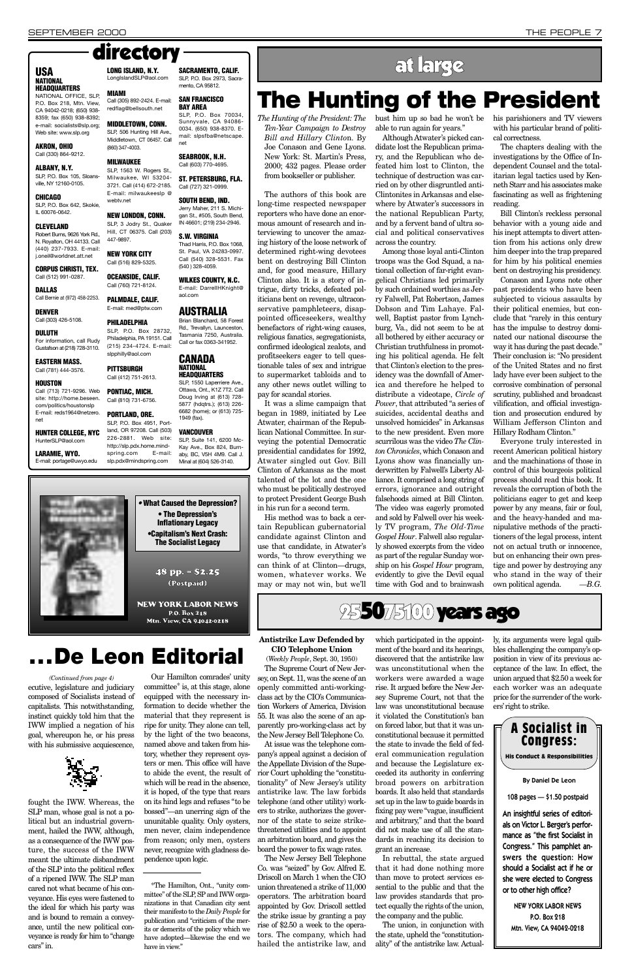*The Hunting of the President: The Ten-Year Campaign to Destroy Bill and Hillary Clinto*n. By Joe Conason and Gene Lyons. New York: St. Martin's Press, 2000; 432 pages. Please order from bookseller or publisher.

The authors of this book are long-time respected newspaper reporters who have done an enormous amount of research and interviewing to uncover the amazing history of the loose network of determined right-wing devotees bent on destroying Bill Clinton and, for good measure, Hillary Clinton also. It is a story of intrigue, dirty tricks, defeated politicians bent on revenge, ultraconservative pamphleteers, disappointed officeseekers, wealthy benefactors of right-wing causes, religious fanatics, segregationists, confirmed ideological zealots, and profitseekers eager to tell questionable tales of sex and intrigue to supermarket tabloids and to any other news outlet willing to pay for scandal stories.

It was a slime campaign that began in 1989, initiated by Lee Atwater, chairman of the Republican National Committee. In surveying the potential Democratic presidential candidates for 1992, Atwater singled out Gov. Bill Clinton of Arkansas as the most talented of the lot and the one who must be politically destroyed to protect President George Bush in his run for a second term.

His method was to back a certain Republican gubernatorial candidate against Clinton and use that candidate, in Atwater's words, "to throw everything we can think of at Clinton—drugs, women, whatever works. We may or may not win, but we'll bust him up so bad he won't be able to run again for years."

Although Atwater's picked candidate lost the Republican primary, and the Republican who defeated him lost to Clinton, the technique of destruction was carried on by other disgruntled anti-Clintonites in Arkansas and elsewhere by Atwater's successors in the national Republican Party, and by a fervent band of ultra social and political conservatives across the country.

#### **ALBANY, N.Y.** SLP, P.O. Box 105, Sloans-

SLP, P.O. Box 642, Skokie, IL 60076-0642.

> Among those loyal anti-Clinton troops was the God Squad, a national collection of far-right evangelical Christians led primarily by such ordained worthies as Jerry Falwell, Pat Robertson, James Dobson and Tim Lahaye. Falwell, Baptist pastor from Lynchburg, Va., did not seem to be at all bothered by either accuracy or Christian truthfulness in promoting his political agenda. He felt that Clinton's election to the presidency was the downfall of America and therefore he helped to distribute a videotape, *Circle of Power*, that attributed "a series of suicides, accidental deaths and unsolved homicides" in Arkansas to the new president. Even more scurrilous was the video *The Clinton Chronicles*, which Conason and Lyons show was financially underwritten by Falwell's Liberty Alliance. It comprised a long string of errors, ignorance and outright falsehoods aimed at Bill Clinton. The video was eagerly promoted and sold by Falwell over his weekly TV program, *The Old-Time Gospel Hour*. Falwell also regularly showed excerpts from the video as part of the regular Sunday worship on his *Gospel Hour* program, evidently to give the Devil equal time with God and to brainwash

his parishioners and TV viewers with his particular brand of political correctness.

**SACRAMENTO, CALIF.** SLP, P.O. Box 2973, Sacra-

> The chapters dealing with the investigations by the Office of Independent Counsel and the totalitarian legal tactics used by Kenneth Starr and his associates make fascinating as well as frightening reading.

> Bill Clinton's reckless personal behavior with a young aide and his inept attempts to divert attention from his actions only drew him deeper into the trap prepared for him by his political enemies bent on destroying his presidency.

> Conason and Lyons note other past presidents who have been subjected to vicious assaults by their political enemies, but conclude that "rarely in this century has the impulse to destroy dominated our national discourse the way it has during the past decade." Their conclusion is: "No president of the United States and no first lady have ever been subject to the corrosive combination of personal scrutiny, published and broadcast vilification, and official investigation and prosecution endured by William Jefferson Clinton and Hillary Rodham Clinton."

Everyone truly interested in recent American political history and the machinations of those in control of this bourgeois political process should read this book. It reveals the corruption of both the politicians eager to get and keep power by any means, fair or foul, and the heavy-handed and manipulative methods of the practitioners of the legal process, intent not on actual truth or innocence, but on enhancing their own prestige and power by destroying any who stand in the way of their own political agenda. *—B.G.*

### **NATIONAL HEADQUARTERS**

NATIONAL OFFICE, SLP, P.O. Box 218, Mtn. View, CA 94042-0218; (650) 938- 8359; fax (650) 938-8392; e-mail: socialists@slp.org; Web site: www.slp.org

### **AKRON, OHIO**

Call (330) 864-9212.

ville, NY 12160-0105. **CHICAGO**

### **CLEVELAND**

Robert Burns, 9626 York Rd., N. Royalton, OH 44133. Call (440) 237-7933. E-mail: j.oneil@worldnet.att.net

**CORPUS CHRISTI, TEX.** Call (512) 991-0287.

**DALLAS**

Call Bernie at (972) 458-2253. **DENVER**

### Call (303) 426-5108.

**DULUTH** For information, call Rudy Gustafson at (218) 728-3110.

#### **EASTERN MASS.** Call (781) 444-3576.

#### **HOUSTON** Call (713) 721-9296. Web

site: http://home.beseen. com/politics/houstonslp E-mail: reds1964@netzero. net

**HUNTER COLLEGE, NYC** HunterSLP@aol.com

**LARAMIE, WYO.** E-mail: portage@uwyo.edu

**LONG ISLAND, N.Y.** LongIslandSLP@aol.com

**MIAMI**

#### **MIDDLETOWN, CONN.** SLP, 506 Hunting Hill Ave.,

(860) 347-4003.

#### **MILWAUKEE** SLP, 1563 W. Rogers St.,

webtv.net

**NEW LONDON, CONN.** SLP, 3 Jodry St., Quaker

447-9897.

**OCEANSIDE, CALIF.** Call (760) 721-8124.

#### Call (305) 892-2424. E-mail: mento, CA 95812. **SAN FRANCISCO**

**PALMDALE, CALIF.** E-mail: med@ptw.com

redflag@bellsouth.net **BAY AREA** SLP, P.O. Box 70034,

### **PHILADELPHIA**

Middletown, CT 06457. Call 0034. (650) 938-8370. Email: slpsfba@netscape. net **SEABROOK, N.H.**

### slpphilly@aol.com **PITTSBURGH**

### Call (412) 751-2613.

Milwaukee, WI 53204- 3721. Call (414) 672-2185. E-mail: milwaukeeslp @ Call (603) 770-4695. **ST. PETERSBURG, FLA.** Call (727) 321-0999.

#### SLP, P.O. Box 4951, Portland, OR 97208. Call (503) 226-2881. Web site: http://slp.pdx.home.mindspring.com E-mail:

#### Hill, CT 06375. Call (203) **S.W. VIRGINIA**

**NEW YORK CITY** Call (516) 829-5325. Thad Harris, P.O. Box 1068, St. Paul, VA 24283-0997. Call (540) 328-5531. Fax (540 ) 328-4059.

Sunnyvale, CA 94086-

SLP, P.O. Box 28732, Philadelphia, PA 19151. Call (215) 234-4724. E-mail: Brian Blanchard, 58 Forest Rd., Trevallyn, Launceston, Tasmania 7250, Australia. Call or fax 0363-341952.

#### **SOUTH BEND, IND.**

**PONTIAC, MICH.** Call (810) 731-6756. **PORTLAND, ORE.** SLP, 1550 Laperriere Ave. Ottawa, Ont., K1Z 7T2. Call Doug Irving at (613) 728- 5877 (hdqtrs.); (613) 226- 6682 (home); or (613) 725- 1949 (fax).

Jerry Maher, 211 S. Michigan St., #505, South Bend, IN 46601; (219) 234-2946.

slp.pdx@mindspring.com **VANCOUVER** SLP, Suite 141, 6200 Mc-Kay Ave., Box 824, Burnaby, BC, V5H 4M9. Call J. Minal at (604) 526-3140.

**WILKES COUNTY, N.C.** E-mail: DarrellHKnight@

aol.com

**AUSTRALIA**

**CANADA NATIONAL HEADQUARTERS**

### directory

### **The Hunting of the President**



### **Antistrike Law Defended by CIO Telephone Union**

(*Weekly People*, Sept. 30, 1950) The Supreme Court of New Jersey, on Sept. 11, was the scene of an openly committed anti-workingclass act by the CIO's Communication Workers of America, Division 55. It was also the scene of an apparently pro-working-class act by the New Jersey Bell Telephone Co. At issue was the telephone company's appeal against a decision of the Appellate Division of the Superior Court upholding the "constitutionality" of New Jersey's utility antistrike law. The law forbids telephone (and other utility) workers to strike, authorizes the governor of the state to seize strikethreatened utilities and to appoint an arbitration board, and gives the board the power to fix wage rates. The New Jersey Bell Telephone Co. was "seized" by Gov. Alfred E. Driscoll on March 1 when the CIO union threatened a strike of 11,000 operators. The arbitration board appointed by Gov. Driscoll settled the strike issue by granting a pay rise of \$2.50 a week to the operators. The company, which had hailed the antistrike law, and

which participated in the appointment of the board and its hearings, discovered that the antistrike law was unconstitutional when the workers were awarded a wage rise. It argued before the New Jersey Supreme Court, not that the law was unconstitutional because it violated the Constitution's ban

on forced labor, but that it was unconstitutional because it permitted the state to invade the field of federal communication regulation and because the Legislature exceeded its authority in conferring broad powers on arbitration boards. It also held that standards set up in the law to guide boards in fixing pay were "vague, insufficient and arbitrary," and that the board did not make use of all the standards in reaching its decision to grant an increase.

In rebuttal, the state argued that it had done nothing more than move to protect services essential to the public and that the law provides standards that protect equally the rights of the union, the company and the public.

The union, in conjunction with the state, upheld the "constitutionality" of the antistrike law. Actually, its arguments were legal quibbles challenging the company's opposition in view of its previous acceptance of the law. In effect, the union argued that \$2.50 a week for each worker was an adequate price for the surrender of the workers'right to strike.



NEW YORK LABOR NEWS P.O. Box 218 Mtn. View, CA 94042-0218



**. . . De Leon Editorial**

### USA LONG ISLAND, N.Y. SACRAMENTO, CALIF.

ecutive, legislature and judiciary composed of Socialists instead of capitalists. This notwithstanding,

instinct quickly told him that the IWW implied a negation of his goal, whereupon he, or his press with his submissive acquiescence,

fought the IWW. Whereas, the SLP man, whose goal is not a political but an industrial government, hailed the IWW, although, as a consequence of the IWW posture, the success of the IWW meant the ultimate disbandment of the SLP into the political reflex of a ripened IWW. The SLP man cared not what became of his conveyance. His eyes were fastened to the ideal for which his party was and is bound to remain a conveyance, until the new political conveyance is ready for him to "change cars" in.

Our Hamilton comrades' unity committee\* is, at this stage, alone equipped with the necessary information to decide whether the material that they represent is

ripe for unity. They alone can tell, by the light of the two beacons, named above and taken from history, whether they represent oysters or men. This office will have to abide the event, the result of which will be read in the absence, it is hoped, of the type that rears on its hind legs and refuses "to be bossed"—an unerring sign of the ununitable quality. Only oysters, men never, claim independence from reason; only men, oysters never, recognize with gladness dependence upon logic.

\*The Hamilton, Ont., "unity committee" of the SLP, SP and IWW organizations in that Canadian city sent their manifesto to the *Daily People* for publication and "criticism of the merits or demerits of the policy which we have adopted—likewise the end we have in view."

*(Continued from page 4)*